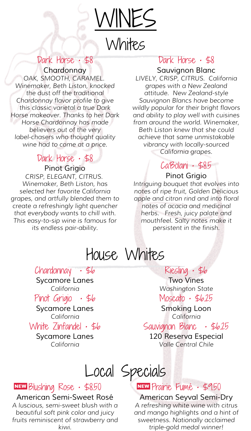

## Dark Horse • \$8

*Chardonnay OAK, SMOOTH, CARAMEL. Winemaker, Beth Liston, knocked the dust off the traditional Chardonnay flavor profile to give this classic varietal a true Dark Horse makeover. Thanks to her Dark Horse Chardonnay has made believers out of the very label-chasers who thought quality wine had to come at a price.*

## Dark Horse • \$8

*Pinot Grigio CRISP, ELEGANT, CITRUS. Winemaker, Beth Liston, has selected her favorite California grapes, and artfully blended them to create a refreshingly light quencher that everybody wants to chill with. This easy-to-sip wine is famous for its endless pair-ability.*

## Dark Horse · \$8

*Sauvignon Blanc LIVELY, CRISP, CITRUS. California grapes with a New Zealand attitude. New Zealand-style Sauvignon Blancs have become wildly popular for their bright flavors and ability to play well with cuisines from around the world. Winemaker, Beth Liston knew that she could achieve that same unmistakable vibrancy with locally-sourced California grapes.*

## Ca'Bolani • \$8.5

#### *Pinot Grigio*

*Intriguing bouquet that evolves into notes of ripe fruit, Golden Delicious apple and citron rind and into floral notes of acacia and medicinal herbs. Fresh, juicy palate and mouthfeel. Salty notes make it persistent in the finish.*

# House Whites

## Chardonnay • \$6

*Sycamore Lanes California*

Pinot Grigio • \$6

*Sycamore Lanes California*

White Zinfandel • \$6

*Sycamore Lanes California*

### Riesling • \$6

*Two Vines Washington State* Moscato • \$6.25

*Smoking Loon California*

Sauvignon Blanc • \$6.25

*120 Reserva Especial Valle Central Chile*

# Local Specials

## NEW Blushing Rose · \$8.50

#### *American Semi-Sweet Rosé*

*A luscious, semi-sweet blush with a beautiful soft pink color and juicy fruits reminiscent of strawberry and kiwi.*

## ,Prairie Fumé • \$9.50

*American Seyval Semi-Dry A refreshing white wine with citrus and mango highlights and a hint of sweetness. Nationally acclaimed triple-gold medal winner!*